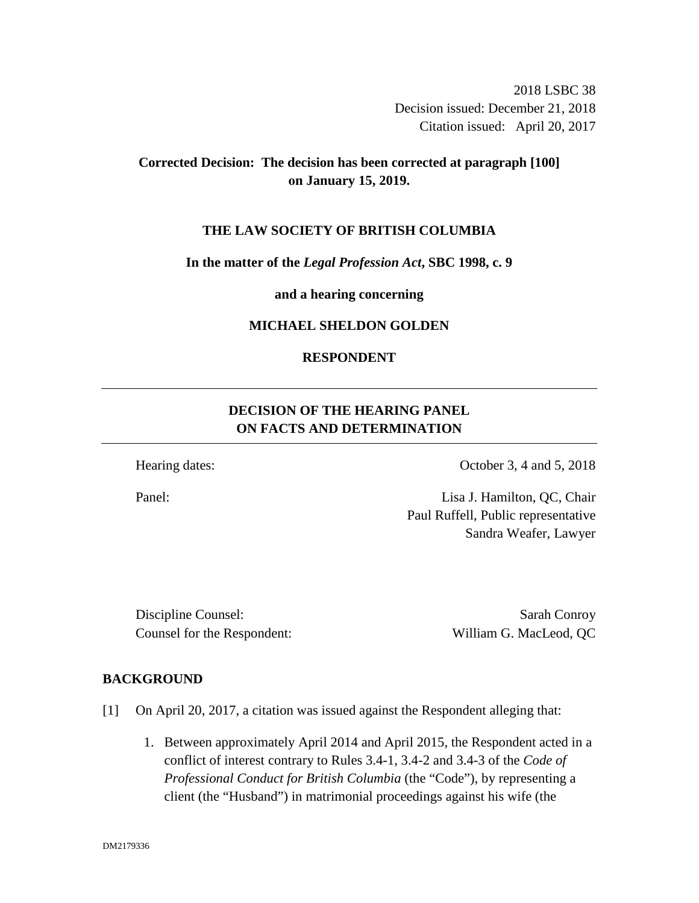2018 LSBC 38 Decision issued: December 21, 2018 Citation issued: April 20, 2017

# **Corrected Decision: The decision has been corrected at paragraph [100] on January 15, 2019.**

#### **THE LAW SOCIETY OF BRITISH COLUMBIA**

#### **In the matter of the** *Legal Profession Act***, SBC 1998, c. 9**

**and a hearing concerning**

#### **MICHAEL SHELDON GOLDEN**

### **RESPONDENT**

# **DECISION OF THE HEARING PANEL ON FACTS AND DETERMINATION**

Hearing dates: October 3, 4 and 5, 2018

Panel: Lisa J. Hamilton, QC, Chair Paul Ruffell, Public representative Sandra Weafer, Lawyer

Discipline Counsel: Sarah Conroy Counsel for the Respondent: William G. MacLeod, QC

### **BACKGROUND**

- [1] On April 20, 2017, a citation was issued against the Respondent alleging that:
	- 1. Between approximately April 2014 and April 2015, the Respondent acted in a conflict of interest contrary to Rules 3.4-1, 3.4-2 and 3.4-3 of the *Code of Professional Conduct for British Columbia* (the "Code")*,* by representing a client (the "Husband") in matrimonial proceedings against his wife (the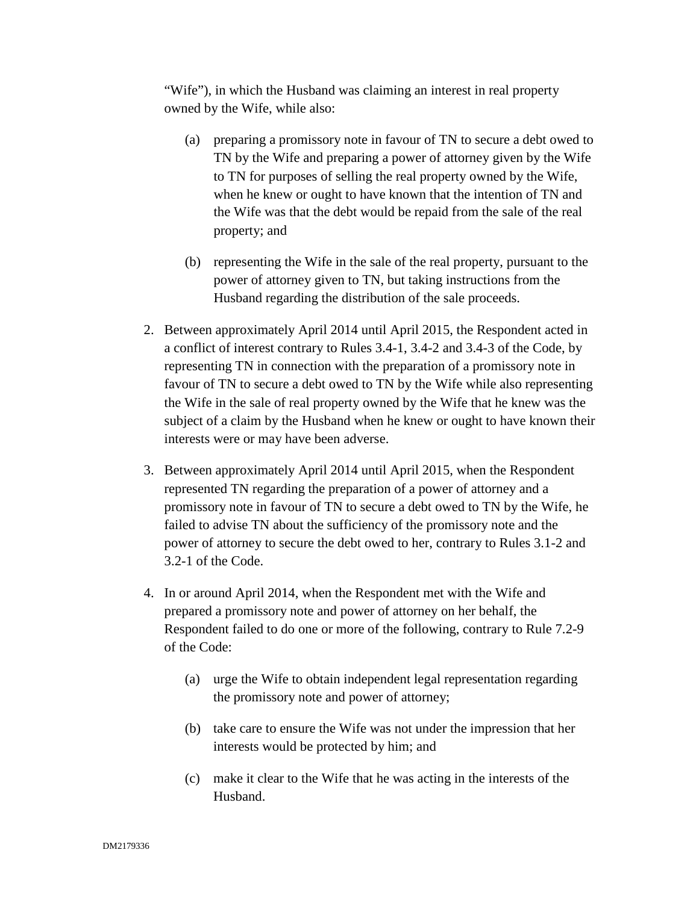"Wife"), in which the Husband was claiming an interest in real property owned by the Wife, while also:

- (a) preparing a promissory note in favour of TN to secure a debt owed to TN by the Wife and preparing a power of attorney given by the Wife to TN for purposes of selling the real property owned by the Wife, when he knew or ought to have known that the intention of TN and the Wife was that the debt would be repaid from the sale of the real property; and
- (b) representing the Wife in the sale of the real property, pursuant to the power of attorney given to TN, but taking instructions from the Husband regarding the distribution of the sale proceeds.
- 2. Between approximately April 2014 until April 2015, the Respondent acted in a conflict of interest contrary to Rules 3.4-1, 3.4-2 and 3.4-3 of the Code, by representing TN in connection with the preparation of a promissory note in favour of TN to secure a debt owed to TN by the Wife while also representing the Wife in the sale of real property owned by the Wife that he knew was the subject of a claim by the Husband when he knew or ought to have known their interests were or may have been adverse.
- 3. Between approximately April 2014 until April 2015, when the Respondent represented TN regarding the preparation of a power of attorney and a promissory note in favour of TN to secure a debt owed to TN by the Wife, he failed to advise TN about the sufficiency of the promissory note and the power of attorney to secure the debt owed to her, contrary to Rules 3.1-2 and 3.2-1 of the Code.
- 4. In or around April 2014, when the Respondent met with the Wife and prepared a promissory note and power of attorney on her behalf, the Respondent failed to do one or more of the following, contrary to Rule 7.2-9 of the Code:
	- (a) urge the Wife to obtain independent legal representation regarding the promissory note and power of attorney;
	- (b) take care to ensure the Wife was not under the impression that her interests would be protected by him; and
	- (c) make it clear to the Wife that he was acting in the interests of the Husband.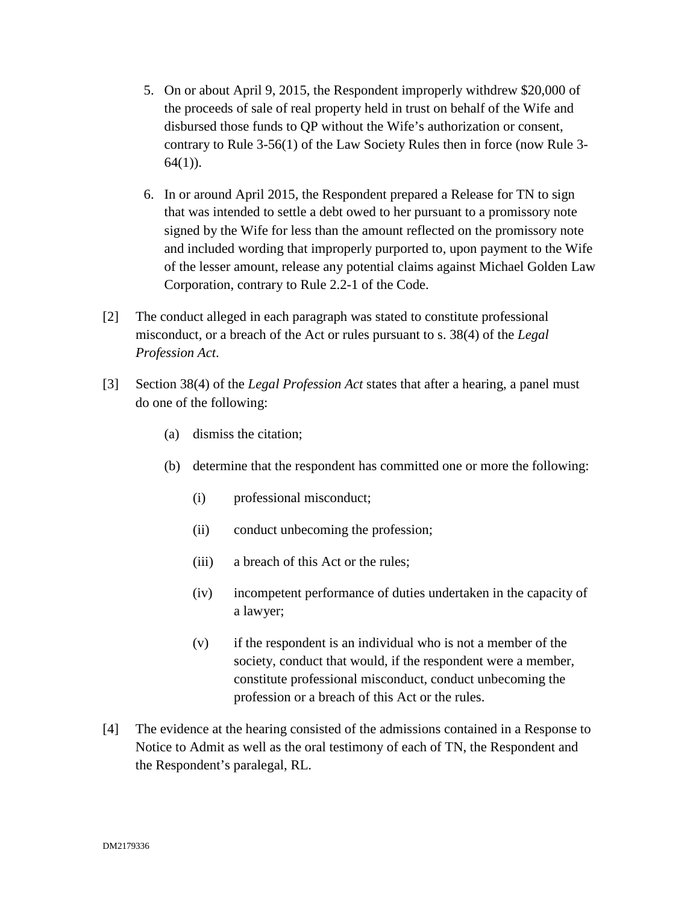- 5. On or about April 9, 2015, the Respondent improperly withdrew \$20,000 of the proceeds of sale of real property held in trust on behalf of the Wife and disbursed those funds to QP without the Wife's authorization or consent, contrary to Rule 3-56(1) of the Law Society Rules then in force (now Rule 3- 64(1)).
- 6. In or around April 2015, the Respondent prepared a Release for TN to sign that was intended to settle a debt owed to her pursuant to a promissory note signed by the Wife for less than the amount reflected on the promissory note and included wording that improperly purported to, upon payment to the Wife of the lesser amount, release any potential claims against Michael Golden Law Corporation, contrary to Rule 2.2-1 of the Code.
- [2] The conduct alleged in each paragraph was stated to constitute professional misconduct, or a breach of the Act or rules pursuant to s. 38(4) of the *Legal Profession Act*.
- [3] Section 38(4) of the *Legal Profession Act* states that after a hearing, a panel must do one of the following:
	- (a) dismiss the citation;
	- (b) determine that the respondent has committed one or more the following:
		- (i) professional misconduct;
		- (ii) conduct unbecoming the profession;
		- (iii) a breach of this Act or the rules;
		- (iv) incompetent performance of duties undertaken in the capacity of a lawyer;
		- (v) if the respondent is an individual who is not a member of the society, conduct that would, if the respondent were a member, constitute professional misconduct, conduct unbecoming the profession or a breach of this Act or the rules.
- [4] The evidence at the hearing consisted of the admissions contained in a Response to Notice to Admit as well as the oral testimony of each of TN, the Respondent and the Respondent's paralegal, RL.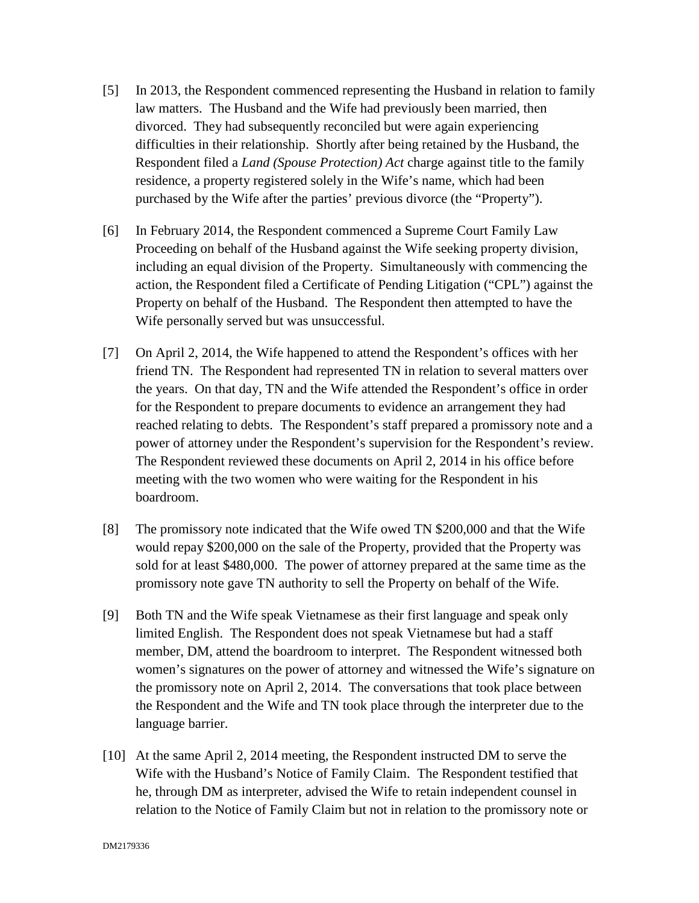- [5] In 2013, the Respondent commenced representing the Husband in relation to family law matters. The Husband and the Wife had previously been married, then divorced. They had subsequently reconciled but were again experiencing difficulties in their relationship. Shortly after being retained by the Husband, the Respondent filed a *Land (Spouse Protection) Act* charge against title to the family residence, a property registered solely in the Wife's name, which had been purchased by the Wife after the parties' previous divorce (the "Property").
- [6] In February 2014, the Respondent commenced a Supreme Court Family Law Proceeding on behalf of the Husband against the Wife seeking property division, including an equal division of the Property. Simultaneously with commencing the action, the Respondent filed a Certificate of Pending Litigation ("CPL") against the Property on behalf of the Husband. The Respondent then attempted to have the Wife personally served but was unsuccessful.
- [7] On April 2, 2014, the Wife happened to attend the Respondent's offices with her friend TN. The Respondent had represented TN in relation to several matters over the years. On that day, TN and the Wife attended the Respondent's office in order for the Respondent to prepare documents to evidence an arrangement they had reached relating to debts. The Respondent's staff prepared a promissory note and a power of attorney under the Respondent's supervision for the Respondent's review. The Respondent reviewed these documents on April 2, 2014 in his office before meeting with the two women who were waiting for the Respondent in his boardroom.
- [8] The promissory note indicated that the Wife owed TN \$200,000 and that the Wife would repay \$200,000 on the sale of the Property, provided that the Property was sold for at least \$480,000. The power of attorney prepared at the same time as the promissory note gave TN authority to sell the Property on behalf of the Wife.
- [9] Both TN and the Wife speak Vietnamese as their first language and speak only limited English. The Respondent does not speak Vietnamese but had a staff member, DM, attend the boardroom to interpret. The Respondent witnessed both women's signatures on the power of attorney and witnessed the Wife's signature on the promissory note on April 2, 2014. The conversations that took place between the Respondent and the Wife and TN took place through the interpreter due to the language barrier.
- [10] At the same April 2, 2014 meeting, the Respondent instructed DM to serve the Wife with the Husband's Notice of Family Claim. The Respondent testified that he, through DM as interpreter, advised the Wife to retain independent counsel in relation to the Notice of Family Claim but not in relation to the promissory note or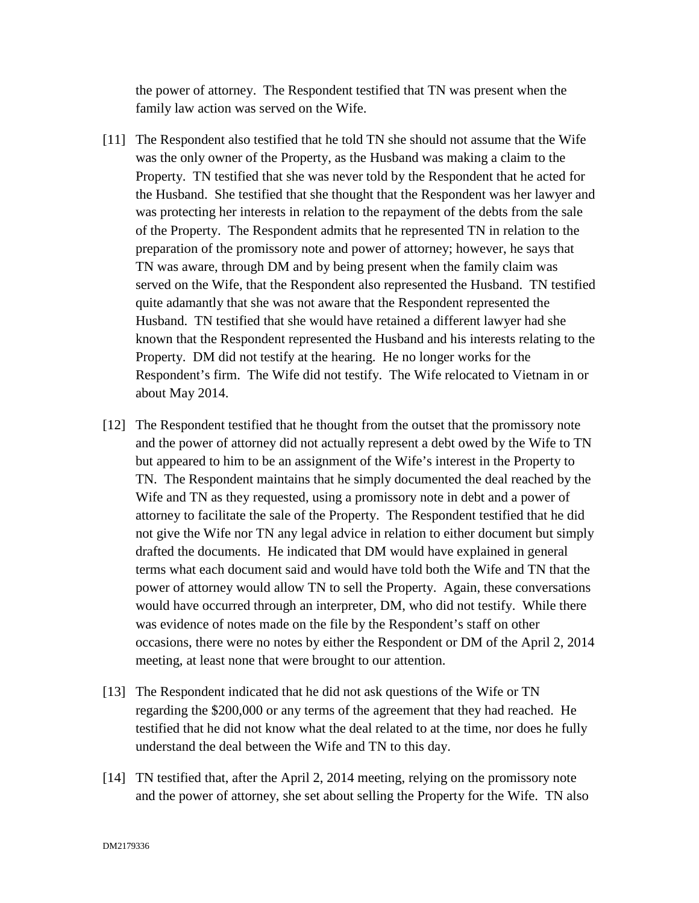the power of attorney. The Respondent testified that TN was present when the family law action was served on the Wife.

- [11] The Respondent also testified that he told TN she should not assume that the Wife was the only owner of the Property, as the Husband was making a claim to the Property. TN testified that she was never told by the Respondent that he acted for the Husband. She testified that she thought that the Respondent was her lawyer and was protecting her interests in relation to the repayment of the debts from the sale of the Property. The Respondent admits that he represented TN in relation to the preparation of the promissory note and power of attorney; however, he says that TN was aware, through DM and by being present when the family claim was served on the Wife, that the Respondent also represented the Husband. TN testified quite adamantly that she was not aware that the Respondent represented the Husband. TN testified that she would have retained a different lawyer had she known that the Respondent represented the Husband and his interests relating to the Property. DM did not testify at the hearing. He no longer works for the Respondent's firm. The Wife did not testify. The Wife relocated to Vietnam in or about May 2014.
- [12] The Respondent testified that he thought from the outset that the promissory note and the power of attorney did not actually represent a debt owed by the Wife to TN but appeared to him to be an assignment of the Wife's interest in the Property to TN. The Respondent maintains that he simply documented the deal reached by the Wife and TN as they requested, using a promissory note in debt and a power of attorney to facilitate the sale of the Property. The Respondent testified that he did not give the Wife nor TN any legal advice in relation to either document but simply drafted the documents. He indicated that DM would have explained in general terms what each document said and would have told both the Wife and TN that the power of attorney would allow TN to sell the Property. Again, these conversations would have occurred through an interpreter, DM, who did not testify. While there was evidence of notes made on the file by the Respondent's staff on other occasions, there were no notes by either the Respondent or DM of the April 2, 2014 meeting, at least none that were brought to our attention.
- [13] The Respondent indicated that he did not ask questions of the Wife or TN regarding the \$200,000 or any terms of the agreement that they had reached. He testified that he did not know what the deal related to at the time, nor does he fully understand the deal between the Wife and TN to this day.
- [14] TN testified that, after the April 2, 2014 meeting, relying on the promissory note and the power of attorney, she set about selling the Property for the Wife. TN also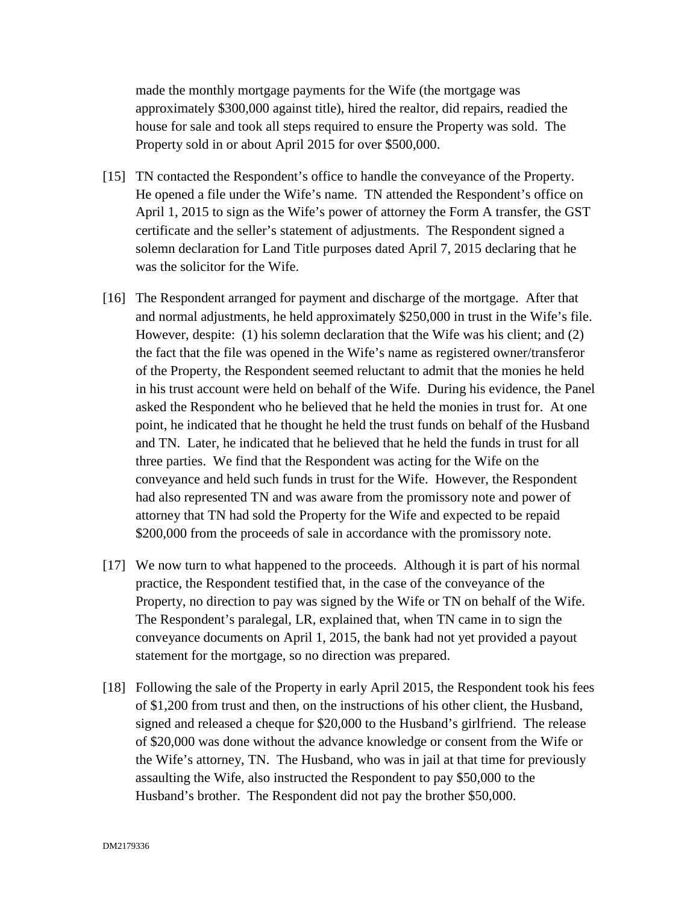made the monthly mortgage payments for the Wife (the mortgage was approximately \$300,000 against title), hired the realtor, did repairs, readied the house for sale and took all steps required to ensure the Property was sold. The Property sold in or about April 2015 for over \$500,000.

- [15] TN contacted the Respondent's office to handle the conveyance of the Property. He opened a file under the Wife's name. TN attended the Respondent's office on April 1, 2015 to sign as the Wife's power of attorney the Form A transfer, the GST certificate and the seller's statement of adjustments. The Respondent signed a solemn declaration for Land Title purposes dated April 7, 2015 declaring that he was the solicitor for the Wife.
- [16] The Respondent arranged for payment and discharge of the mortgage. After that and normal adjustments, he held approximately \$250,000 in trust in the Wife's file. However, despite: (1) his solemn declaration that the Wife was his client; and (2) the fact that the file was opened in the Wife's name as registered owner/transferor of the Property, the Respondent seemed reluctant to admit that the monies he held in his trust account were held on behalf of the Wife. During his evidence, the Panel asked the Respondent who he believed that he held the monies in trust for. At one point, he indicated that he thought he held the trust funds on behalf of the Husband and TN. Later, he indicated that he believed that he held the funds in trust for all three parties. We find that the Respondent was acting for the Wife on the conveyance and held such funds in trust for the Wife. However, the Respondent had also represented TN and was aware from the promissory note and power of attorney that TN had sold the Property for the Wife and expected to be repaid \$200,000 from the proceeds of sale in accordance with the promissory note.
- [17] We now turn to what happened to the proceeds. Although it is part of his normal practice, the Respondent testified that, in the case of the conveyance of the Property, no direction to pay was signed by the Wife or TN on behalf of the Wife. The Respondent's paralegal, LR, explained that, when TN came in to sign the conveyance documents on April 1, 2015, the bank had not yet provided a payout statement for the mortgage, so no direction was prepared.
- [18] Following the sale of the Property in early April 2015, the Respondent took his fees of \$1,200 from trust and then, on the instructions of his other client, the Husband, signed and released a cheque for \$20,000 to the Husband's girlfriend. The release of \$20,000 was done without the advance knowledge or consent from the Wife or the Wife's attorney, TN. The Husband, who was in jail at that time for previously assaulting the Wife, also instructed the Respondent to pay \$50,000 to the Husband's brother. The Respondent did not pay the brother \$50,000.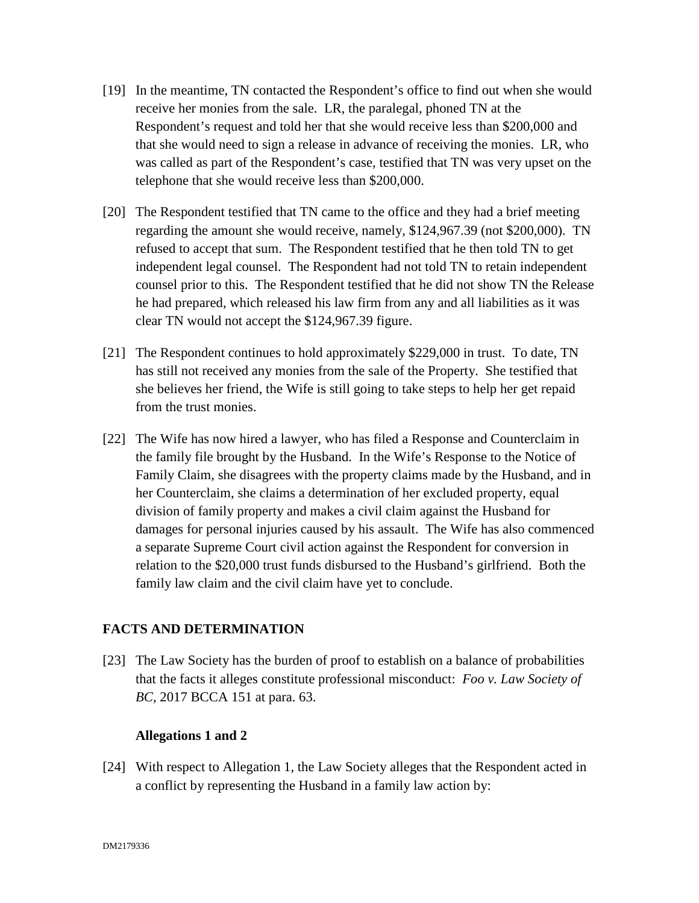- [19] In the meantime, TN contacted the Respondent's office to find out when she would receive her monies from the sale. LR, the paralegal, phoned TN at the Respondent's request and told her that she would receive less than \$200,000 and that she would need to sign a release in advance of receiving the monies. LR, who was called as part of the Respondent's case, testified that TN was very upset on the telephone that she would receive less than \$200,000.
- [20] The Respondent testified that TN came to the office and they had a brief meeting regarding the amount she would receive, namely, \$124,967.39 (not \$200,000). TN refused to accept that sum. The Respondent testified that he then told TN to get independent legal counsel. The Respondent had not told TN to retain independent counsel prior to this. The Respondent testified that he did not show TN the Release he had prepared, which released his law firm from any and all liabilities as it was clear TN would not accept the \$124,967.39 figure.
- [21] The Respondent continues to hold approximately \$229,000 in trust. To date, TN has still not received any monies from the sale of the Property. She testified that she believes her friend, the Wife is still going to take steps to help her get repaid from the trust monies.
- [22] The Wife has now hired a lawyer, who has filed a Response and Counterclaim in the family file brought by the Husband. In the Wife's Response to the Notice of Family Claim, she disagrees with the property claims made by the Husband, and in her Counterclaim, she claims a determination of her excluded property, equal division of family property and makes a civil claim against the Husband for damages for personal injuries caused by his assault. The Wife has also commenced a separate Supreme Court civil action against the Respondent for conversion in relation to the \$20,000 trust funds disbursed to the Husband's girlfriend. Both the family law claim and the civil claim have yet to conclude.

### **FACTS AND DETERMINATION**

[23] The Law Society has the burden of proof to establish on a balance of probabilities that the facts it alleges constitute professional misconduct: *Foo v. Law Society of BC*, 2017 BCCA 151 at para. 63.

#### **Allegations 1 and 2**

[24] With respect to Allegation 1, the Law Society alleges that the Respondent acted in a conflict by representing the Husband in a family law action by: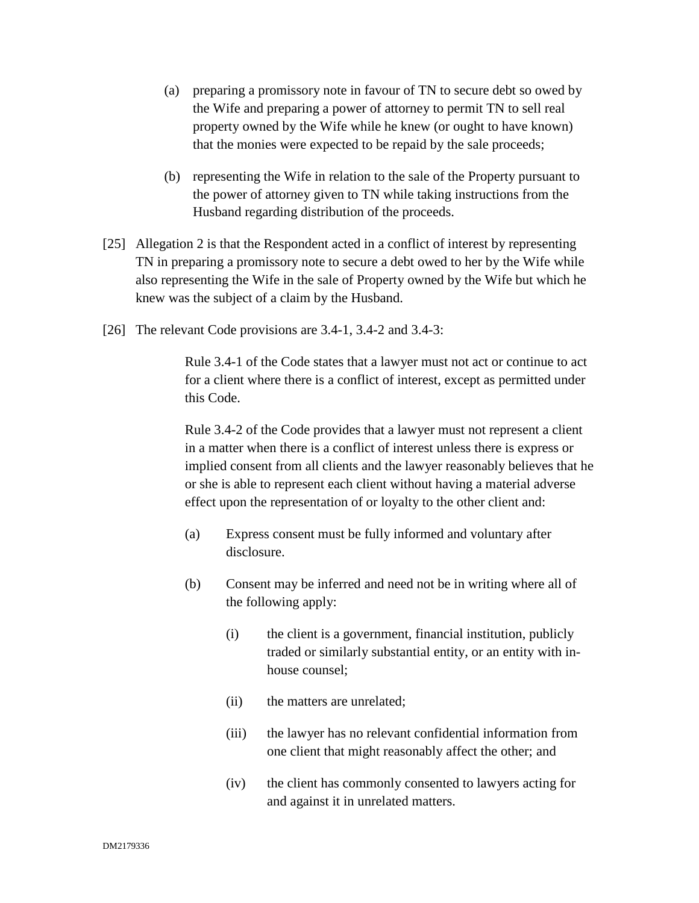- (a) preparing a promissory note in favour of TN to secure debt so owed by the Wife and preparing a power of attorney to permit TN to sell real property owned by the Wife while he knew (or ought to have known) that the monies were expected to be repaid by the sale proceeds;
- (b) representing the Wife in relation to the sale of the Property pursuant to the power of attorney given to TN while taking instructions from the Husband regarding distribution of the proceeds.
- [25] Allegation 2 is that the Respondent acted in a conflict of interest by representing TN in preparing a promissory note to secure a debt owed to her by the Wife while also representing the Wife in the sale of Property owned by the Wife but which he knew was the subject of a claim by the Husband.
- [26] The relevant Code provisions are 3.4-1, 3.4-2 and 3.4-3:

Rule 3.4-1 of the Code states that a lawyer must not act or continue to act for a client where there is a conflict of interest, except as permitted under this Code.

Rule 3.4-2 of the Code provides that a lawyer must not represent a client in a matter when there is a conflict of interest unless there is express or implied consent from all clients and the lawyer reasonably believes that he or she is able to represent each client without having a material adverse effect upon the representation of or loyalty to the other client and:

- (a) Express consent must be fully informed and voluntary after disclosure.
- (b) Consent may be inferred and need not be in writing where all of the following apply:
	- (i) the client is a government, financial institution, publicly traded or similarly substantial entity, or an entity with inhouse counsel;
	- (ii) the matters are unrelated;
	- (iii) the lawyer has no relevant confidential information from one client that might reasonably affect the other; and
	- (iv) the client has commonly consented to lawyers acting for and against it in unrelated matters.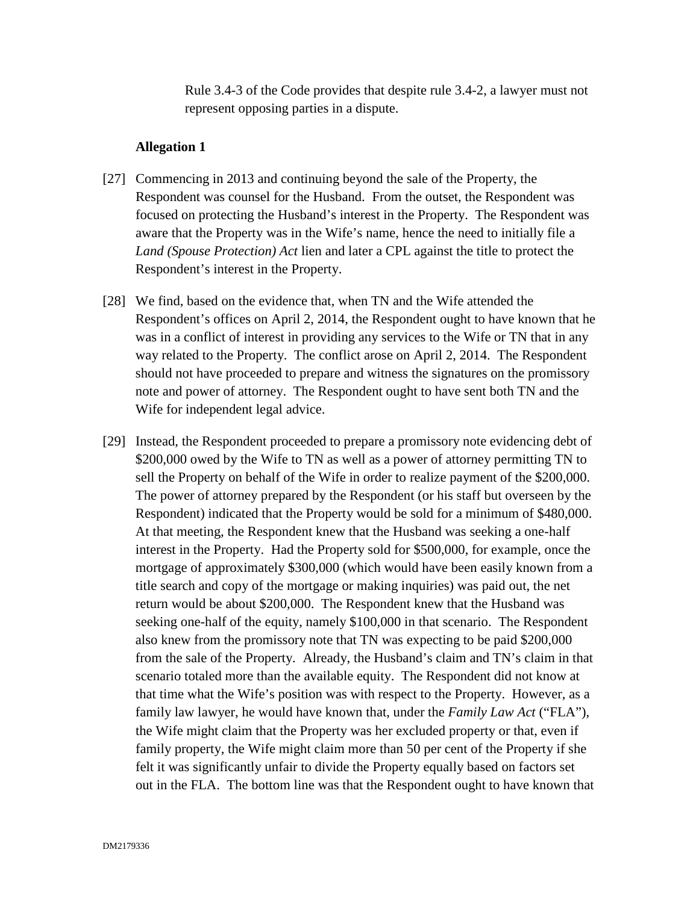Rule 3.4-3 of the Code provides that despite rule 3.4-2, a lawyer must not represent opposing parties in a dispute.

- [27] Commencing in 2013 and continuing beyond the sale of the Property, the Respondent was counsel for the Husband. From the outset, the Respondent was focused on protecting the Husband's interest in the Property. The Respondent was aware that the Property was in the Wife's name, hence the need to initially file a *Land (Spouse Protection) Act* lien and later a CPL against the title to protect the Respondent's interest in the Property.
- [28] We find, based on the evidence that, when TN and the Wife attended the Respondent's offices on April 2, 2014, the Respondent ought to have known that he was in a conflict of interest in providing any services to the Wife or TN that in any way related to the Property. The conflict arose on April 2, 2014. The Respondent should not have proceeded to prepare and witness the signatures on the promissory note and power of attorney. The Respondent ought to have sent both TN and the Wife for independent legal advice.
- [29] Instead, the Respondent proceeded to prepare a promissory note evidencing debt of \$200,000 owed by the Wife to TN as well as a power of attorney permitting TN to sell the Property on behalf of the Wife in order to realize payment of the \$200,000. The power of attorney prepared by the Respondent (or his staff but overseen by the Respondent) indicated that the Property would be sold for a minimum of \$480,000. At that meeting, the Respondent knew that the Husband was seeking a one-half interest in the Property. Had the Property sold for \$500,000, for example, once the mortgage of approximately \$300,000 (which would have been easily known from a title search and copy of the mortgage or making inquiries) was paid out, the net return would be about \$200,000. The Respondent knew that the Husband was seeking one-half of the equity, namely \$100,000 in that scenario. The Respondent also knew from the promissory note that TN was expecting to be paid \$200,000 from the sale of the Property. Already, the Husband's claim and TN's claim in that scenario totaled more than the available equity. The Respondent did not know at that time what the Wife's position was with respect to the Property. However, as a family law lawyer, he would have known that, under the *Family Law Act* ("FLA"), the Wife might claim that the Property was her excluded property or that, even if family property, the Wife might claim more than 50 per cent of the Property if she felt it was significantly unfair to divide the Property equally based on factors set out in the FLA. The bottom line was that the Respondent ought to have known that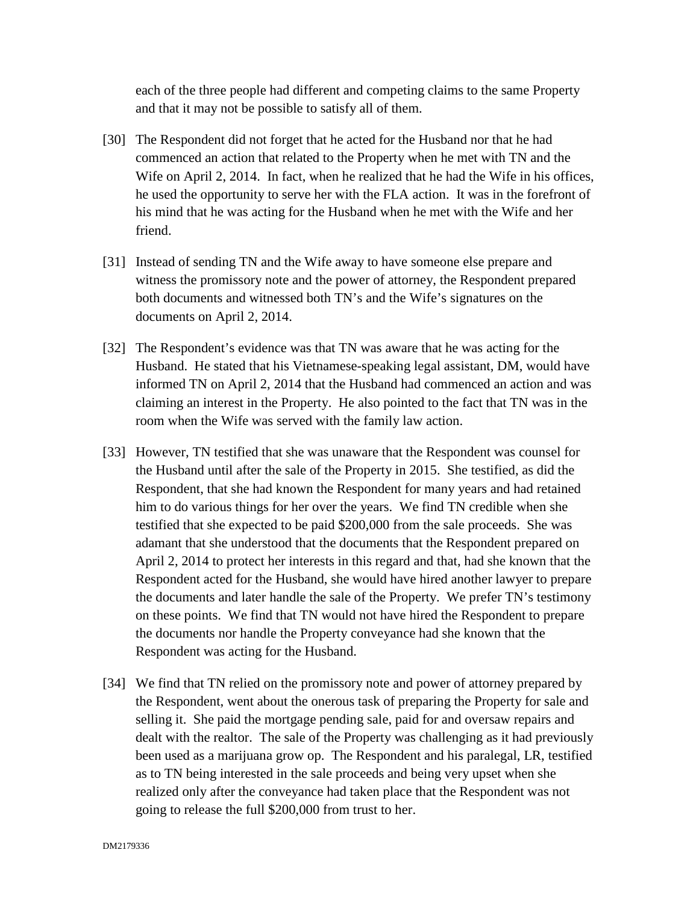each of the three people had different and competing claims to the same Property and that it may not be possible to satisfy all of them.

- [30] The Respondent did not forget that he acted for the Husband nor that he had commenced an action that related to the Property when he met with TN and the Wife on April 2, 2014. In fact, when he realized that he had the Wife in his offices, he used the opportunity to serve her with the FLA action. It was in the forefront of his mind that he was acting for the Husband when he met with the Wife and her friend.
- [31] Instead of sending TN and the Wife away to have someone else prepare and witness the promissory note and the power of attorney, the Respondent prepared both documents and witnessed both TN's and the Wife's signatures on the documents on April 2, 2014.
- [32] The Respondent's evidence was that TN was aware that he was acting for the Husband. He stated that his Vietnamese-speaking legal assistant, DM, would have informed TN on April 2, 2014 that the Husband had commenced an action and was claiming an interest in the Property. He also pointed to the fact that TN was in the room when the Wife was served with the family law action.
- [33] However, TN testified that she was unaware that the Respondent was counsel for the Husband until after the sale of the Property in 2015. She testified, as did the Respondent, that she had known the Respondent for many years and had retained him to do various things for her over the years. We find TN credible when she testified that she expected to be paid \$200,000 from the sale proceeds. She was adamant that she understood that the documents that the Respondent prepared on April 2, 2014 to protect her interests in this regard and that, had she known that the Respondent acted for the Husband, she would have hired another lawyer to prepare the documents and later handle the sale of the Property. We prefer TN's testimony on these points. We find that TN would not have hired the Respondent to prepare the documents nor handle the Property conveyance had she known that the Respondent was acting for the Husband.
- [34] We find that TN relied on the promissory note and power of attorney prepared by the Respondent, went about the onerous task of preparing the Property for sale and selling it. She paid the mortgage pending sale, paid for and oversaw repairs and dealt with the realtor. The sale of the Property was challenging as it had previously been used as a marijuana grow op. The Respondent and his paralegal, LR, testified as to TN being interested in the sale proceeds and being very upset when she realized only after the conveyance had taken place that the Respondent was not going to release the full \$200,000 from trust to her.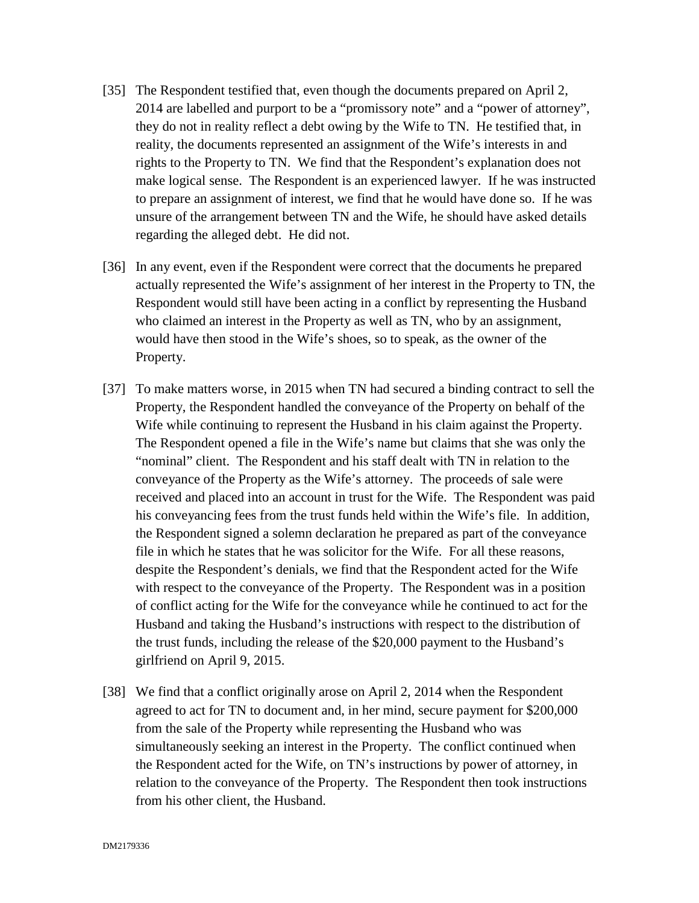- [35] The Respondent testified that, even though the documents prepared on April 2, 2014 are labelled and purport to be a "promissory note" and a "power of attorney", they do not in reality reflect a debt owing by the Wife to TN. He testified that, in reality, the documents represented an assignment of the Wife's interests in and rights to the Property to TN. We find that the Respondent's explanation does not make logical sense. The Respondent is an experienced lawyer. If he was instructed to prepare an assignment of interest, we find that he would have done so. If he was unsure of the arrangement between TN and the Wife, he should have asked details regarding the alleged debt. He did not.
- [36] In any event, even if the Respondent were correct that the documents he prepared actually represented the Wife's assignment of her interest in the Property to TN, the Respondent would still have been acting in a conflict by representing the Husband who claimed an interest in the Property as well as TN, who by an assignment, would have then stood in the Wife's shoes, so to speak, as the owner of the Property.
- [37] To make matters worse, in 2015 when TN had secured a binding contract to sell the Property, the Respondent handled the conveyance of the Property on behalf of the Wife while continuing to represent the Husband in his claim against the Property. The Respondent opened a file in the Wife's name but claims that she was only the "nominal" client. The Respondent and his staff dealt with TN in relation to the conveyance of the Property as the Wife's attorney. The proceeds of sale were received and placed into an account in trust for the Wife. The Respondent was paid his conveyancing fees from the trust funds held within the Wife's file. In addition, the Respondent signed a solemn declaration he prepared as part of the conveyance file in which he states that he was solicitor for the Wife. For all these reasons, despite the Respondent's denials, we find that the Respondent acted for the Wife with respect to the conveyance of the Property. The Respondent was in a position of conflict acting for the Wife for the conveyance while he continued to act for the Husband and taking the Husband's instructions with respect to the distribution of the trust funds, including the release of the \$20,000 payment to the Husband's girlfriend on April 9, 2015.
- [38] We find that a conflict originally arose on April 2, 2014 when the Respondent agreed to act for TN to document and, in her mind, secure payment for \$200,000 from the sale of the Property while representing the Husband who was simultaneously seeking an interest in the Property. The conflict continued when the Respondent acted for the Wife, on TN's instructions by power of attorney, in relation to the conveyance of the Property. The Respondent then took instructions from his other client, the Husband.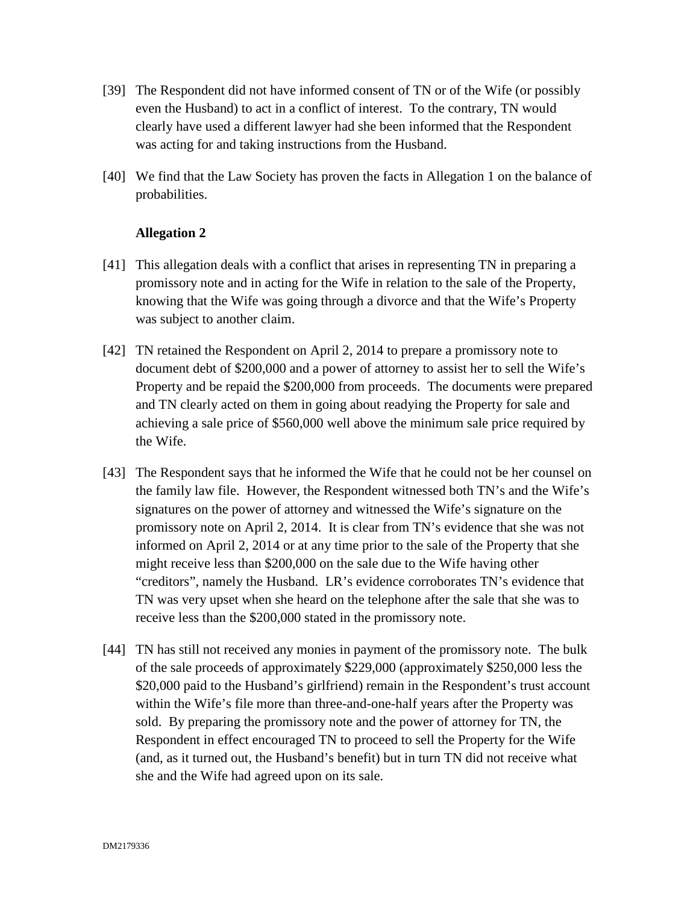- [39] The Respondent did not have informed consent of TN or of the Wife (or possibly even the Husband) to act in a conflict of interest. To the contrary, TN would clearly have used a different lawyer had she been informed that the Respondent was acting for and taking instructions from the Husband.
- [40] We find that the Law Society has proven the facts in Allegation 1 on the balance of probabilities.

- [41] This allegation deals with a conflict that arises in representing TN in preparing a promissory note and in acting for the Wife in relation to the sale of the Property, knowing that the Wife was going through a divorce and that the Wife's Property was subject to another claim.
- [42] TN retained the Respondent on April 2, 2014 to prepare a promissory note to document debt of \$200,000 and a power of attorney to assist her to sell the Wife's Property and be repaid the \$200,000 from proceeds. The documents were prepared and TN clearly acted on them in going about readying the Property for sale and achieving a sale price of \$560,000 well above the minimum sale price required by the Wife.
- [43] The Respondent says that he informed the Wife that he could not be her counsel on the family law file. However, the Respondent witnessed both TN's and the Wife's signatures on the power of attorney and witnessed the Wife's signature on the promissory note on April 2, 2014. It is clear from TN's evidence that she was not informed on April 2, 2014 or at any time prior to the sale of the Property that she might receive less than \$200,000 on the sale due to the Wife having other "creditors", namely the Husband. LR's evidence corroborates TN's evidence that TN was very upset when she heard on the telephone after the sale that she was to receive less than the \$200,000 stated in the promissory note.
- [44] TN has still not received any monies in payment of the promissory note. The bulk of the sale proceeds of approximately \$229,000 (approximately \$250,000 less the \$20,000 paid to the Husband's girlfriend) remain in the Respondent's trust account within the Wife's file more than three-and-one-half years after the Property was sold. By preparing the promissory note and the power of attorney for TN, the Respondent in effect encouraged TN to proceed to sell the Property for the Wife (and, as it turned out, the Husband's benefit) but in turn TN did not receive what she and the Wife had agreed upon on its sale.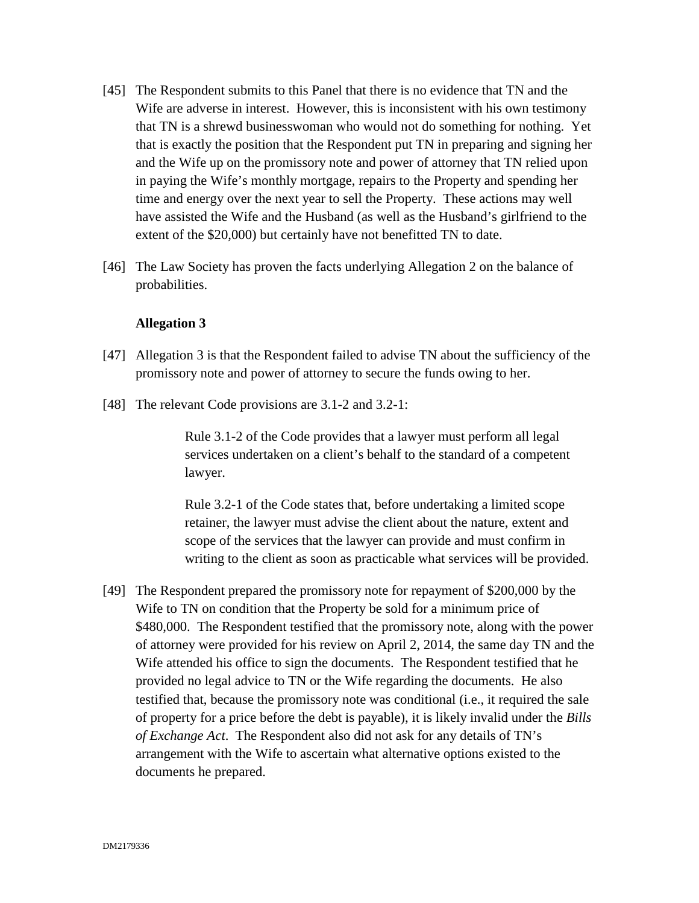- [45] The Respondent submits to this Panel that there is no evidence that TN and the Wife are adverse in interest. However, this is inconsistent with his own testimony that TN is a shrewd businesswoman who would not do something for nothing. Yet that is exactly the position that the Respondent put TN in preparing and signing her and the Wife up on the promissory note and power of attorney that TN relied upon in paying the Wife's monthly mortgage, repairs to the Property and spending her time and energy over the next year to sell the Property. These actions may well have assisted the Wife and the Husband (as well as the Husband's girlfriend to the extent of the \$20,000) but certainly have not benefitted TN to date.
- [46] The Law Society has proven the facts underlying Allegation 2 on the balance of probabilities.

- [47] Allegation 3 is that the Respondent failed to advise TN about the sufficiency of the promissory note and power of attorney to secure the funds owing to her.
- [48] The relevant Code provisions are 3.1-2 and 3.2-1:

Rule 3.1-2 of the Code provides that a lawyer must perform all legal services undertaken on a client's behalf to the standard of a competent lawyer.

Rule 3.2-1 of the Code states that, before undertaking a limited scope retainer, the lawyer must advise the client about the nature, extent and scope of the services that the lawyer can provide and must confirm in writing to the client as soon as practicable what services will be provided.

[49] The Respondent prepared the promissory note for repayment of \$200,000 by the Wife to TN on condition that the Property be sold for a minimum price of \$480,000. The Respondent testified that the promissory note, along with the power of attorney were provided for his review on April 2, 2014, the same day TN and the Wife attended his office to sign the documents. The Respondent testified that he provided no legal advice to TN or the Wife regarding the documents. He also testified that, because the promissory note was conditional (i.e., it required the sale of property for a price before the debt is payable), it is likely invalid under the *Bills of Exchange Act*. The Respondent also did not ask for any details of TN's arrangement with the Wife to ascertain what alternative options existed to the documents he prepared.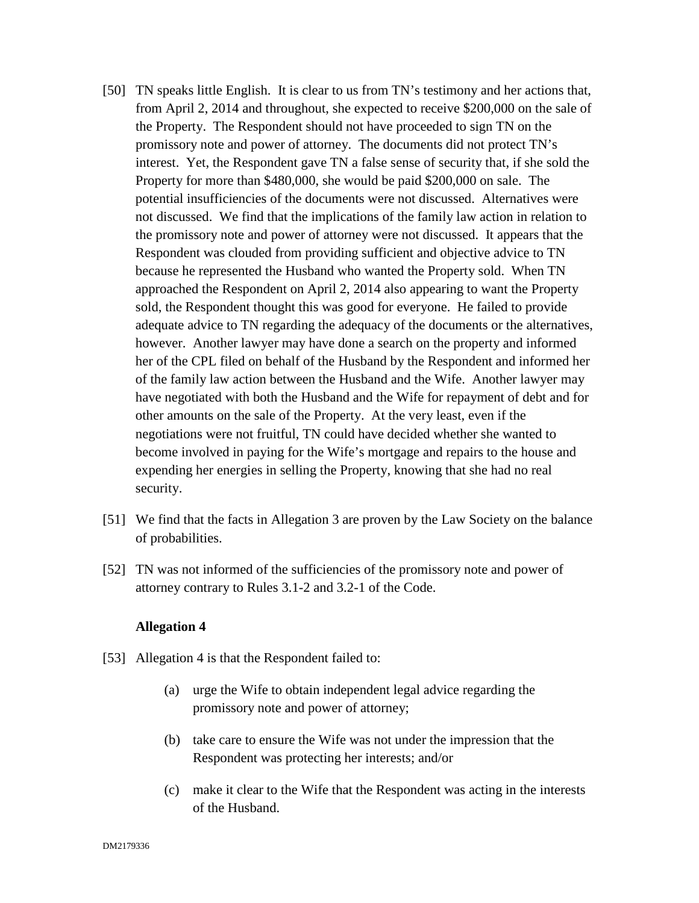- [50] TN speaks little English. It is clear to us from TN's testimony and her actions that, from April 2, 2014 and throughout, she expected to receive \$200,000 on the sale of the Property. The Respondent should not have proceeded to sign TN on the promissory note and power of attorney. The documents did not protect TN's interest. Yet, the Respondent gave TN a false sense of security that, if she sold the Property for more than \$480,000, she would be paid \$200,000 on sale. The potential insufficiencies of the documents were not discussed. Alternatives were not discussed. We find that the implications of the family law action in relation to the promissory note and power of attorney were not discussed. It appears that the Respondent was clouded from providing sufficient and objective advice to TN because he represented the Husband who wanted the Property sold. When TN approached the Respondent on April 2, 2014 also appearing to want the Property sold, the Respondent thought this was good for everyone. He failed to provide adequate advice to TN regarding the adequacy of the documents or the alternatives, however. Another lawyer may have done a search on the property and informed her of the CPL filed on behalf of the Husband by the Respondent and informed her of the family law action between the Husband and the Wife. Another lawyer may have negotiated with both the Husband and the Wife for repayment of debt and for other amounts on the sale of the Property. At the very least, even if the negotiations were not fruitful, TN could have decided whether she wanted to become involved in paying for the Wife's mortgage and repairs to the house and expending her energies in selling the Property, knowing that she had no real security.
- [51] We find that the facts in Allegation 3 are proven by the Law Society on the balance of probabilities.
- [52] TN was not informed of the sufficiencies of the promissory note and power of attorney contrary to Rules 3.1-2 and 3.2-1 of the Code.

- [53] Allegation 4 is that the Respondent failed to:
	- (a) urge the Wife to obtain independent legal advice regarding the promissory note and power of attorney;
	- (b) take care to ensure the Wife was not under the impression that the Respondent was protecting her interests; and/or
	- (c) make it clear to the Wife that the Respondent was acting in the interests of the Husband.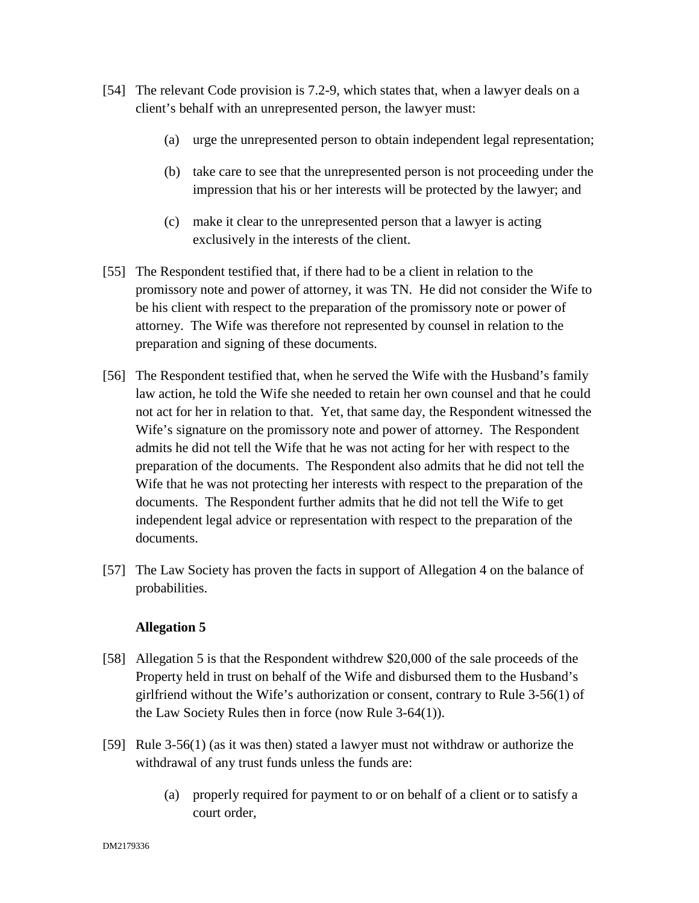- [54] The relevant Code provision is 7.2-9, which states that, when a lawyer deals on a client's behalf with an unrepresented person, the lawyer must:
	- (a) urge the unrepresented person to obtain independent legal representation;
	- (b) take care to see that the unrepresented person is not proceeding under the impression that his or her interests will be protected by the lawyer; and
	- (c) make it clear to the unrepresented person that a lawyer is acting exclusively in the interests of the client.
- [55] The Respondent testified that, if there had to be a client in relation to the promissory note and power of attorney, it was TN. He did not consider the Wife to be his client with respect to the preparation of the promissory note or power of attorney. The Wife was therefore not represented by counsel in relation to the preparation and signing of these documents.
- [56] The Respondent testified that, when he served the Wife with the Husband's family law action, he told the Wife she needed to retain her own counsel and that he could not act for her in relation to that. Yet, that same day, the Respondent witnessed the Wife's signature on the promissory note and power of attorney. The Respondent admits he did not tell the Wife that he was not acting for her with respect to the preparation of the documents. The Respondent also admits that he did not tell the Wife that he was not protecting her interests with respect to the preparation of the documents. The Respondent further admits that he did not tell the Wife to get independent legal advice or representation with respect to the preparation of the documents.
- [57] The Law Society has proven the facts in support of Allegation 4 on the balance of probabilities.

- [58] Allegation 5 is that the Respondent withdrew \$20,000 of the sale proceeds of the Property held in trust on behalf of the Wife and disbursed them to the Husband's girlfriend without the Wife's authorization or consent, contrary to Rule 3-56(1) of the Law Society Rules then in force (now Rule 3-64(1)).
- [59] Rule 3-56(1) (as it was then) stated a lawyer must not withdraw or authorize the withdrawal of any trust funds unless the funds are:
	- (a) properly required for payment to or on behalf of a client or to satisfy a court order,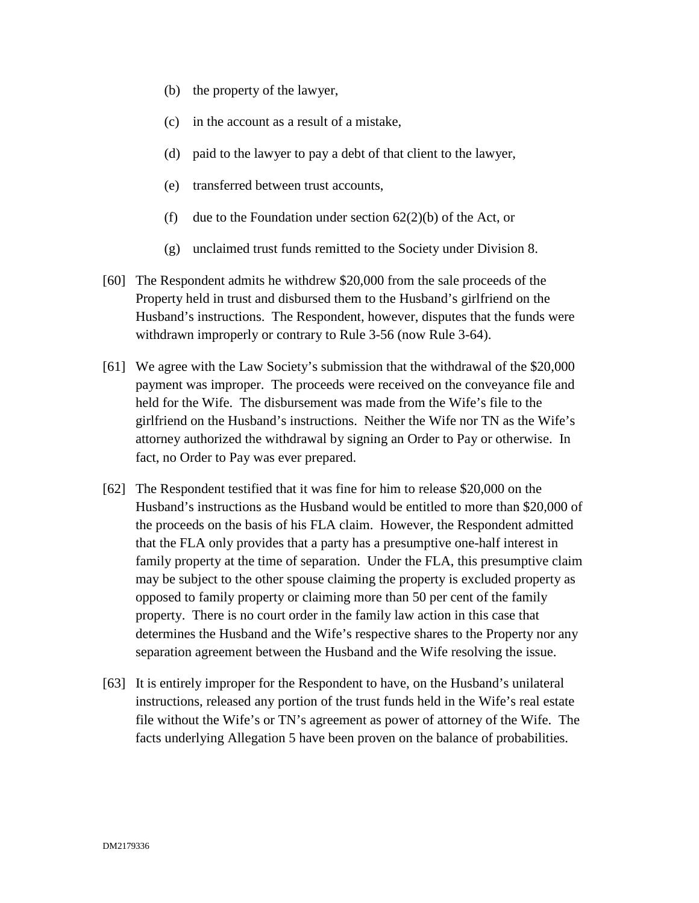- (b) the property of the lawyer,
- (c) in the account as a result of a mistake,
- (d) paid to the lawyer to pay a debt of that client to the lawyer,
- (e) transferred between trust accounts,
- (f) due to the Foundation under section  $62(2)(b)$  of the Act, or
- (g) unclaimed trust funds remitted to the Society under Division 8.
- [60] The Respondent admits he withdrew \$20,000 from the sale proceeds of the Property held in trust and disbursed them to the Husband's girlfriend on the Husband's instructions. The Respondent, however, disputes that the funds were withdrawn improperly or contrary to Rule 3-56 (now Rule 3-64).
- [61] We agree with the Law Society's submission that the withdrawal of the \$20,000 payment was improper. The proceeds were received on the conveyance file and held for the Wife. The disbursement was made from the Wife's file to the girlfriend on the Husband's instructions. Neither the Wife nor TN as the Wife's attorney authorized the withdrawal by signing an Order to Pay or otherwise. In fact, no Order to Pay was ever prepared.
- [62] The Respondent testified that it was fine for him to release \$20,000 on the Husband's instructions as the Husband would be entitled to more than \$20,000 of the proceeds on the basis of his FLA claim. However, the Respondent admitted that the FLA only provides that a party has a presumptive one-half interest in family property at the time of separation. Under the FLA, this presumptive claim may be subject to the other spouse claiming the property is excluded property as opposed to family property or claiming more than 50 per cent of the family property. There is no court order in the family law action in this case that determines the Husband and the Wife's respective shares to the Property nor any separation agreement between the Husband and the Wife resolving the issue.
- [63] It is entirely improper for the Respondent to have, on the Husband's unilateral instructions, released any portion of the trust funds held in the Wife's real estate file without the Wife's or TN's agreement as power of attorney of the Wife. The facts underlying Allegation 5 have been proven on the balance of probabilities.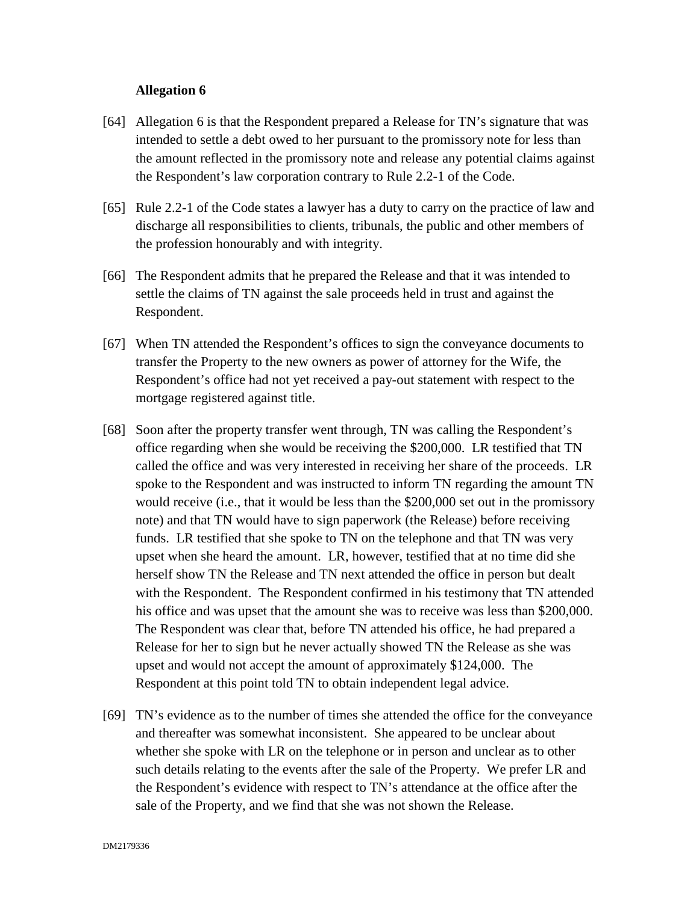- [64] Allegation 6 is that the Respondent prepared a Release for TN's signature that was intended to settle a debt owed to her pursuant to the promissory note for less than the amount reflected in the promissory note and release any potential claims against the Respondent's law corporation contrary to Rule 2.2-1 of the Code.
- [65] Rule 2.2-1 of the Code states a lawyer has a duty to carry on the practice of law and discharge all responsibilities to clients, tribunals, the public and other members of the profession honourably and with integrity.
- [66] The Respondent admits that he prepared the Release and that it was intended to settle the claims of TN against the sale proceeds held in trust and against the Respondent.
- [67] When TN attended the Respondent's offices to sign the conveyance documents to transfer the Property to the new owners as power of attorney for the Wife, the Respondent's office had not yet received a pay-out statement with respect to the mortgage registered against title.
- [68] Soon after the property transfer went through, TN was calling the Respondent's office regarding when she would be receiving the \$200,000. LR testified that TN called the office and was very interested in receiving her share of the proceeds. LR spoke to the Respondent and was instructed to inform TN regarding the amount TN would receive (i.e., that it would be less than the \$200,000 set out in the promissory note) and that TN would have to sign paperwork (the Release) before receiving funds. LR testified that she spoke to TN on the telephone and that TN was very upset when she heard the amount. LR, however, testified that at no time did she herself show TN the Release and TN next attended the office in person but dealt with the Respondent. The Respondent confirmed in his testimony that TN attended his office and was upset that the amount she was to receive was less than \$200,000. The Respondent was clear that, before TN attended his office, he had prepared a Release for her to sign but he never actually showed TN the Release as she was upset and would not accept the amount of approximately \$124,000. The Respondent at this point told TN to obtain independent legal advice.
- [69] TN's evidence as to the number of times she attended the office for the conveyance and thereafter was somewhat inconsistent. She appeared to be unclear about whether she spoke with LR on the telephone or in person and unclear as to other such details relating to the events after the sale of the Property. We prefer LR and the Respondent's evidence with respect to TN's attendance at the office after the sale of the Property, and we find that she was not shown the Release.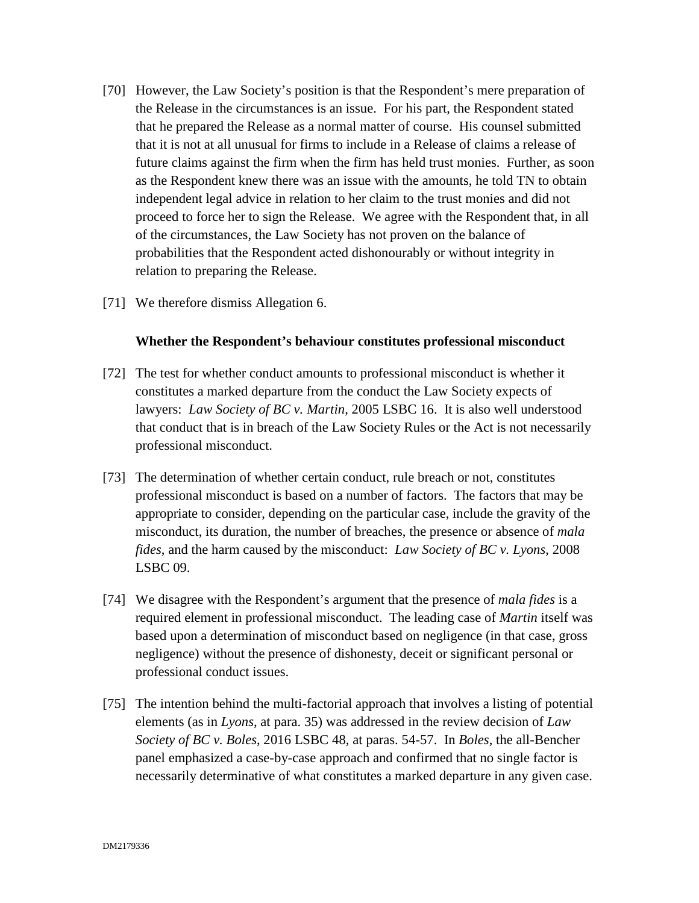- [70] However, the Law Society's position is that the Respondent's mere preparation of the Release in the circumstances is an issue. For his part, the Respondent stated that he prepared the Release as a normal matter of course. His counsel submitted that it is not at all unusual for firms to include in a Release of claims a release of future claims against the firm when the firm has held trust monies. Further, as soon as the Respondent knew there was an issue with the amounts, he told TN to obtain independent legal advice in relation to her claim to the trust monies and did not proceed to force her to sign the Release. We agree with the Respondent that, in all of the circumstances, the Law Society has not proven on the balance of probabilities that the Respondent acted dishonourably or without integrity in relation to preparing the Release.
- [71] We therefore dismiss Allegation 6.

#### **Whether the Respondent's behaviour constitutes professional misconduct**

- [72] The test for whether conduct amounts to professional misconduct is whether it constitutes a marked departure from the conduct the Law Society expects of lawyers: *Law Society of BC v. Martin*, 2005 LSBC 16. It is also well understood that conduct that is in breach of the Law Society Rules or the Act is not necessarily professional misconduct.
- [73] The determination of whether certain conduct, rule breach or not, constitutes professional misconduct is based on a number of factors. The factors that may be appropriate to consider, depending on the particular case, include the gravity of the misconduct, its duration, the number of breaches, the presence or absence of *mala fides*, and the harm caused by the misconduct: *Law Society of BC v. Lyons*, 2008 LSBC 09.
- [74] We disagree with the Respondent's argument that the presence of *mala fides* is a required element in professional misconduct. The leading case of *Martin* itself was based upon a determination of misconduct based on negligence (in that case, gross negligence) without the presence of dishonesty, deceit or significant personal or professional conduct issues.
- [75] The intention behind the multi-factorial approach that involves a listing of potential elements (as in *Lyons*, at para. 35) was addressed in the review decision of *Law Society of BC v. Boles*, 2016 LSBC 48, at paras. 54-57. In *Boles*, the all-Bencher panel emphasized a case-by-case approach and confirmed that no single factor is necessarily determinative of what constitutes a marked departure in any given case.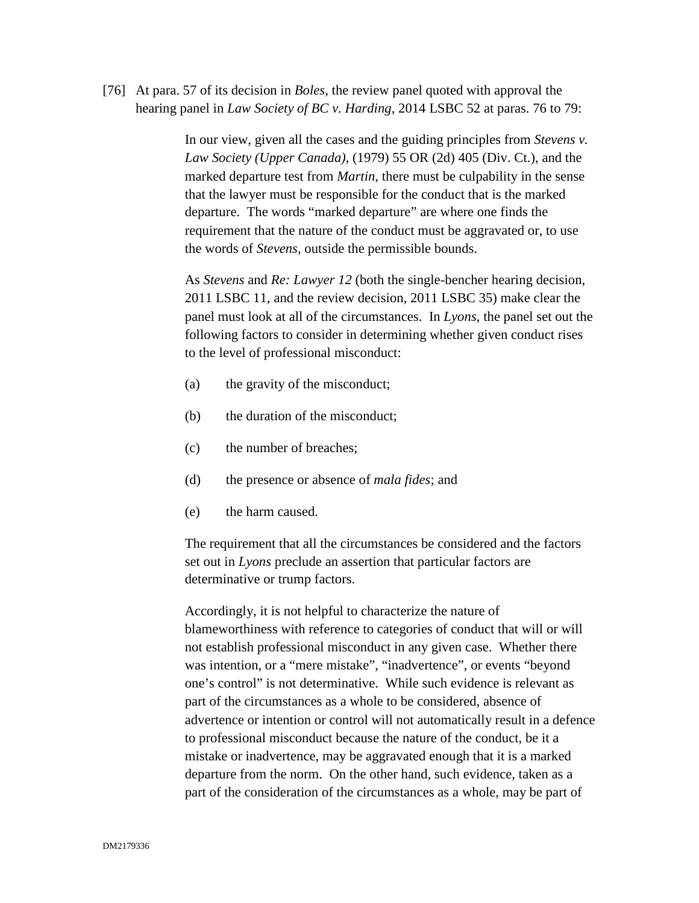[76] At para. 57 of its decision in *Boles*, the review panel quoted with approval the hearing panel in *Law Society of BC v. Harding*, 2014 LSBC 52 at paras. 76 to 79:

> In our view, given all the cases and the guiding principles from *Stevens v. Law Society (Upper Canada)*, (1979) 55 OR (2d) 405 (Div. Ct.), and the marked departure test from *Martin*, there must be culpability in the sense that the lawyer must be responsible for the conduct that is the marked departure. The words "marked departure" are where one finds the requirement that the nature of the conduct must be aggravated or, to use the words of *Stevens*, outside the permissible bounds.

As *Stevens* and *Re: Lawyer 12* (both the single-bencher hearing decision, 2011 LSBC 11, and the review decision, 2011 LSBC 35) make clear the panel must look at all of the circumstances. In *Lyons*, the panel set out the following factors to consider in determining whether given conduct rises to the level of professional misconduct:

- (a) the gravity of the misconduct;
- (b) the duration of the misconduct;
- (c) the number of breaches;
- (d) the presence or absence of *mala fides*; and
- (e) the harm caused.

The requirement that all the circumstances be considered and the factors set out in *Lyons* preclude an assertion that particular factors are determinative or trump factors.

Accordingly, it is not helpful to characterize the nature of blameworthiness with reference to categories of conduct that will or will not establish professional misconduct in any given case. Whether there was intention, or a "mere mistake", "inadvertence", or events "beyond one's control" is not determinative. While such evidence is relevant as part of the circumstances as a whole to be considered, absence of advertence or intention or control will not automatically result in a defence to professional misconduct because the nature of the conduct, be it a mistake or inadvertence, may be aggravated enough that it is a marked departure from the norm. On the other hand, such evidence, taken as a part of the consideration of the circumstances as a whole, may be part of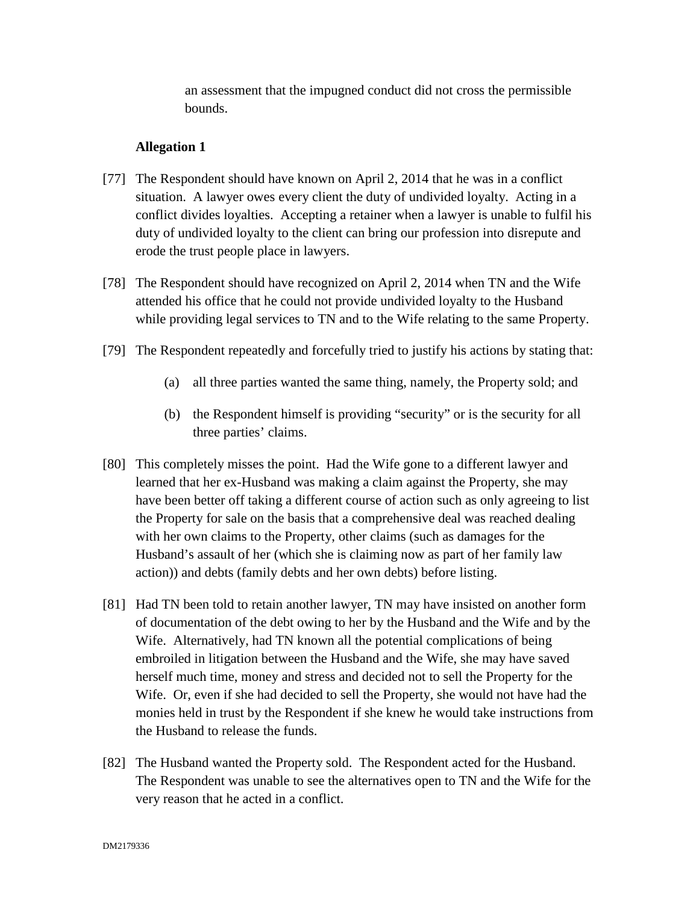an assessment that the impugned conduct did not cross the permissible bounds.

- [77] The Respondent should have known on April 2, 2014 that he was in a conflict situation. A lawyer owes every client the duty of undivided loyalty. Acting in a conflict divides loyalties. Accepting a retainer when a lawyer is unable to fulfil his duty of undivided loyalty to the client can bring our profession into disrepute and erode the trust people place in lawyers.
- [78] The Respondent should have recognized on April 2, 2014 when TN and the Wife attended his office that he could not provide undivided loyalty to the Husband while providing legal services to TN and to the Wife relating to the same Property.
- [79] The Respondent repeatedly and forcefully tried to justify his actions by stating that:
	- (a) all three parties wanted the same thing, namely, the Property sold; and
	- (b) the Respondent himself is providing "security" or is the security for all three parties' claims.
- [80] This completely misses the point. Had the Wife gone to a different lawyer and learned that her ex-Husband was making a claim against the Property, she may have been better off taking a different course of action such as only agreeing to list the Property for sale on the basis that a comprehensive deal was reached dealing with her own claims to the Property, other claims (such as damages for the Husband's assault of her (which she is claiming now as part of her family law action)) and debts (family debts and her own debts) before listing.
- [81] Had TN been told to retain another lawyer, TN may have insisted on another form of documentation of the debt owing to her by the Husband and the Wife and by the Wife. Alternatively, had TN known all the potential complications of being embroiled in litigation between the Husband and the Wife, she may have saved herself much time, money and stress and decided not to sell the Property for the Wife. Or, even if she had decided to sell the Property, she would not have had the monies held in trust by the Respondent if she knew he would take instructions from the Husband to release the funds.
- [82] The Husband wanted the Property sold. The Respondent acted for the Husband. The Respondent was unable to see the alternatives open to TN and the Wife for the very reason that he acted in a conflict.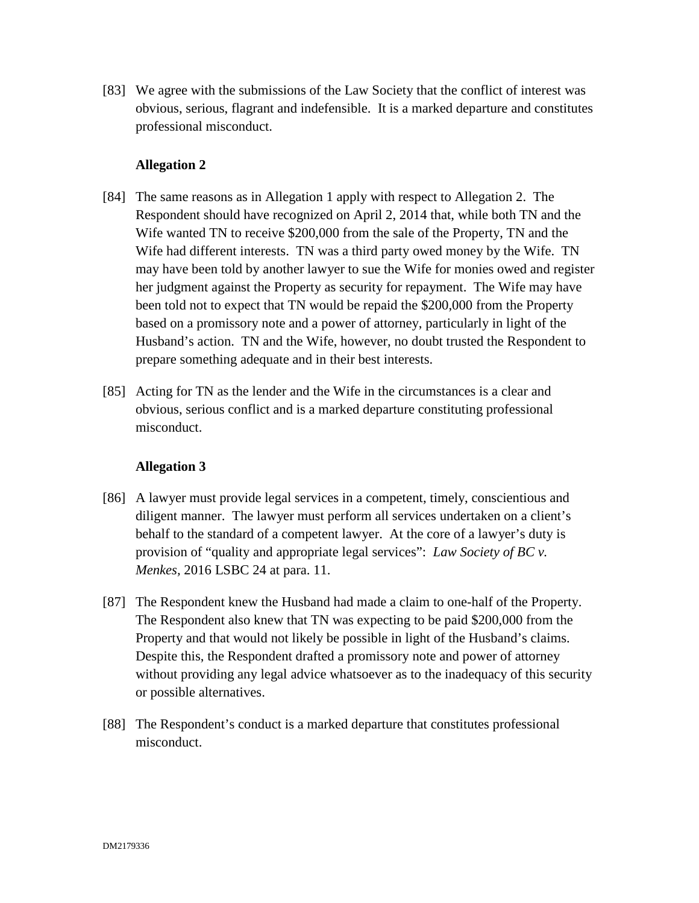[83] We agree with the submissions of the Law Society that the conflict of interest was obvious, serious, flagrant and indefensible. It is a marked departure and constitutes professional misconduct.

# **Allegation 2**

- [84] The same reasons as in Allegation 1 apply with respect to Allegation 2. The Respondent should have recognized on April 2, 2014 that, while both TN and the Wife wanted TN to receive \$200,000 from the sale of the Property, TN and the Wife had different interests. TN was a third party owed money by the Wife. TN may have been told by another lawyer to sue the Wife for monies owed and register her judgment against the Property as security for repayment. The Wife may have been told not to expect that TN would be repaid the \$200,000 from the Property based on a promissory note and a power of attorney, particularly in light of the Husband's action. TN and the Wife, however, no doubt trusted the Respondent to prepare something adequate and in their best interests.
- [85] Acting for TN as the lender and the Wife in the circumstances is a clear and obvious, serious conflict and is a marked departure constituting professional misconduct.

- [86] A lawyer must provide legal services in a competent, timely, conscientious and diligent manner. The lawyer must perform all services undertaken on a client's behalf to the standard of a competent lawyer. At the core of a lawyer's duty is provision of "quality and appropriate legal services": *Law Society of BC v. Menkes,* 2016 LSBC 24 at para. 11.
- [87] The Respondent knew the Husband had made a claim to one-half of the Property. The Respondent also knew that TN was expecting to be paid \$200,000 from the Property and that would not likely be possible in light of the Husband's claims. Despite this, the Respondent drafted a promissory note and power of attorney without providing any legal advice whatsoever as to the inadequacy of this security or possible alternatives.
- [88] The Respondent's conduct is a marked departure that constitutes professional misconduct.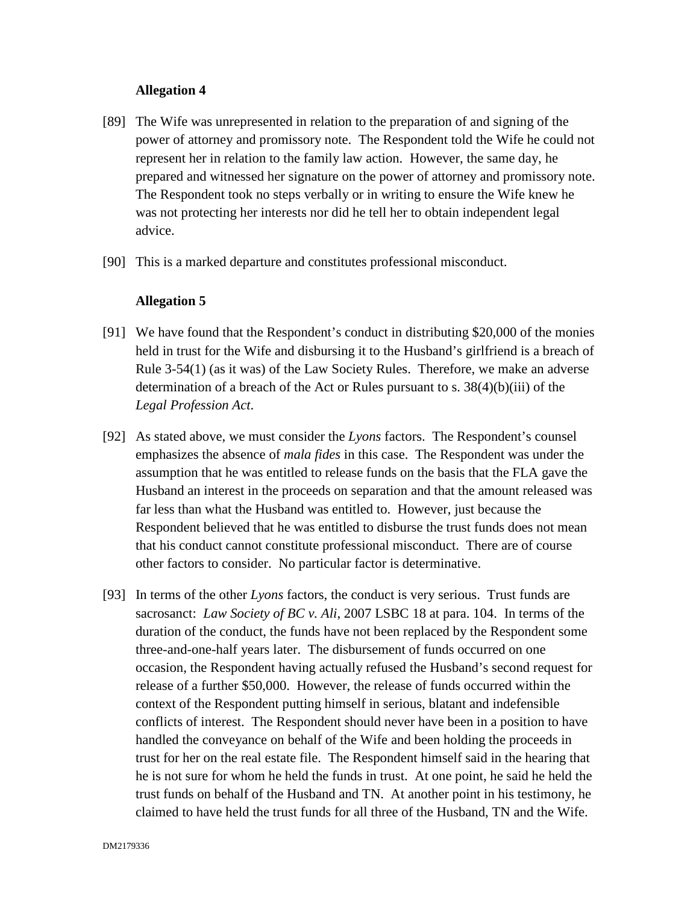- [89] The Wife was unrepresented in relation to the preparation of and signing of the power of attorney and promissory note. The Respondent told the Wife he could not represent her in relation to the family law action. However, the same day, he prepared and witnessed her signature on the power of attorney and promissory note. The Respondent took no steps verbally or in writing to ensure the Wife knew he was not protecting her interests nor did he tell her to obtain independent legal advice.
- [90] This is a marked departure and constitutes professional misconduct.

- [91] We have found that the Respondent's conduct in distributing \$20,000 of the monies held in trust for the Wife and disbursing it to the Husband's girlfriend is a breach of Rule 3-54(1) (as it was) of the Law Society Rules. Therefore, we make an adverse determination of a breach of the Act or Rules pursuant to s.  $38(4)(b)(iii)$  of the *Legal Profession Act*.
- [92] As stated above, we must consider the *Lyons* factors. The Respondent's counsel emphasizes the absence of *mala fides* in this case. The Respondent was under the assumption that he was entitled to release funds on the basis that the FLA gave the Husband an interest in the proceeds on separation and that the amount released was far less than what the Husband was entitled to. However, just because the Respondent believed that he was entitled to disburse the trust funds does not mean that his conduct cannot constitute professional misconduct. There are of course other factors to consider. No particular factor is determinative.
- [93] In terms of the other *Lyons* factors, the conduct is very serious. Trust funds are sacrosanct: *Law Society of BC v. Ali*, 2007 LSBC 18 at para. 104. In terms of the duration of the conduct, the funds have not been replaced by the Respondent some three-and-one-half years later. The disbursement of funds occurred on one occasion, the Respondent having actually refused the Husband's second request for release of a further \$50,000. However, the release of funds occurred within the context of the Respondent putting himself in serious, blatant and indefensible conflicts of interest. The Respondent should never have been in a position to have handled the conveyance on behalf of the Wife and been holding the proceeds in trust for her on the real estate file. The Respondent himself said in the hearing that he is not sure for whom he held the funds in trust. At one point, he said he held the trust funds on behalf of the Husband and TN. At another point in his testimony, he claimed to have held the trust funds for all three of the Husband, TN and the Wife.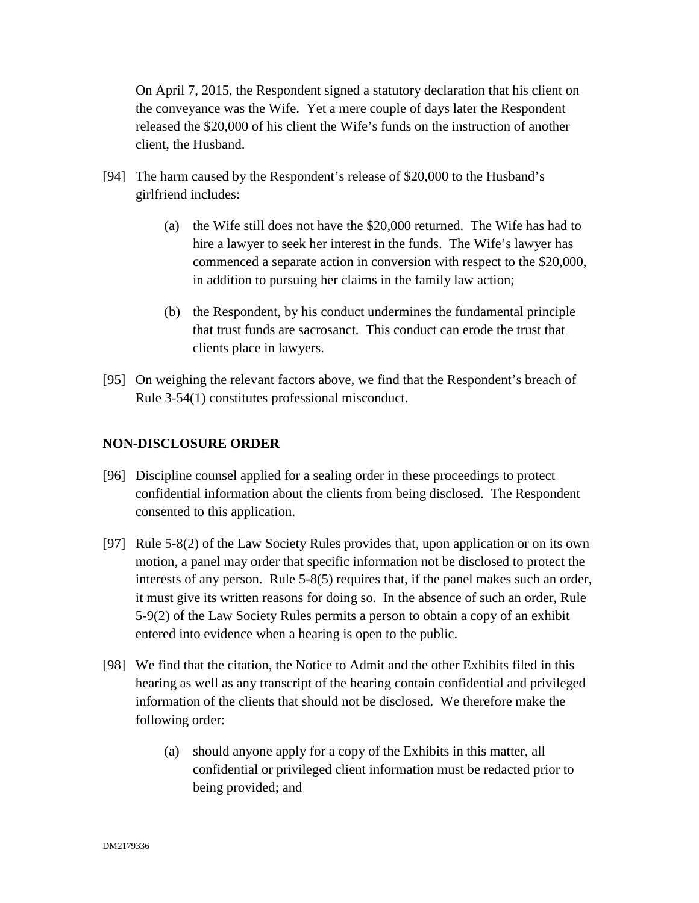On April 7, 2015, the Respondent signed a statutory declaration that his client on the conveyance was the Wife. Yet a mere couple of days later the Respondent released the \$20,000 of his client the Wife's funds on the instruction of another client, the Husband.

- [94] The harm caused by the Respondent's release of \$20,000 to the Husband's girlfriend includes:
	- (a) the Wife still does not have the \$20,000 returned. The Wife has had to hire a lawyer to seek her interest in the funds. The Wife's lawyer has commenced a separate action in conversion with respect to the \$20,000, in addition to pursuing her claims in the family law action;
	- (b) the Respondent, by his conduct undermines the fundamental principle that trust funds are sacrosanct. This conduct can erode the trust that clients place in lawyers.
- [95] On weighing the relevant factors above, we find that the Respondent's breach of Rule 3-54(1) constitutes professional misconduct.

# **NON-DISCLOSURE ORDER**

- [96] Discipline counsel applied for a sealing order in these proceedings to protect confidential information about the clients from being disclosed. The Respondent consented to this application.
- [97] Rule 5-8(2) of the Law Society Rules provides that, upon application or on its own motion, a panel may order that specific information not be disclosed to protect the interests of any person. Rule 5-8(5) requires that, if the panel makes such an order, it must give its written reasons for doing so. In the absence of such an order, Rule 5-9(2) of the Law Society Rules permits a person to obtain a copy of an exhibit entered into evidence when a hearing is open to the public.
- [98] We find that the citation, the Notice to Admit and the other Exhibits filed in this hearing as well as any transcript of the hearing contain confidential and privileged information of the clients that should not be disclosed. We therefore make the following order:
	- (a) should anyone apply for a copy of the Exhibits in this matter, all confidential or privileged client information must be redacted prior to being provided; and